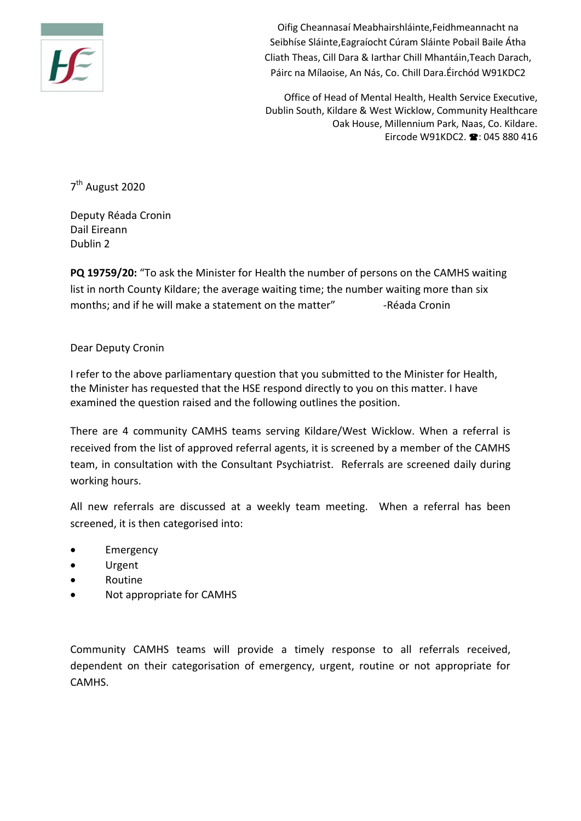

Oifig Cheannasaí Meabhairshláinte,Feidhmeannacht na Seibhíse Sláinte,Eagraíocht Cúram Sláinte Pobail Baile Átha Cliath Theas, Cill Dara & Iarthar Chill Mhantáin,Teach Darach, Páirc na Mílaoise, An Nás, Co. Chill Dara.Éirchód W91KDC2

Office of Head of Mental Health, Health Service Executive, Dublin South, Kildare & West Wicklow, Community Healthcare Oak House, Millennium Park, Naas, Co. Kildare. Eircode W91KDC2.  $\bullet$ : 045 880 416

7<sup>th</sup> August 2020

Deputy Réada Cronin Dail Eireann Dublin 2

**PQ 19759/20:** "To ask the Minister for Health the number of persons on the CAMHS waiting list in north County Kildare; the average waiting time; the number waiting more than six months; and if he will make a statement on the matter" - Réada Cronin

## Dear Deputy Cronin

I refer to the above parliamentary question that you submitted to the Minister for Health, the Minister has requested that the HSE respond directly to you on this matter. I have examined the question raised and the following outlines the position.

There are 4 community CAMHS teams serving Kildare/West Wicklow. When a referral is received from the list of approved referral agents, it is screened by a member of the CAMHS team, in consultation with the Consultant Psychiatrist. Referrals are screened daily during working hours.

All new referrals are discussed at a weekly team meeting. When a referral has been screened, it is then categorised into:

- Emergency
- Urgent
- Routine
- Not appropriate for CAMHS

Community CAMHS teams will provide a timely response to all referrals received, dependent on their categorisation of emergency, urgent, routine or not appropriate for CAMHS.